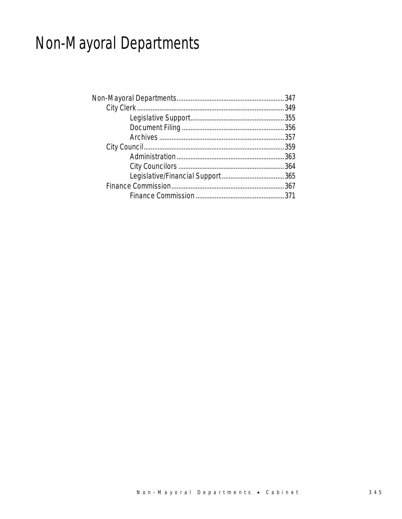# Non-Mayoral Departments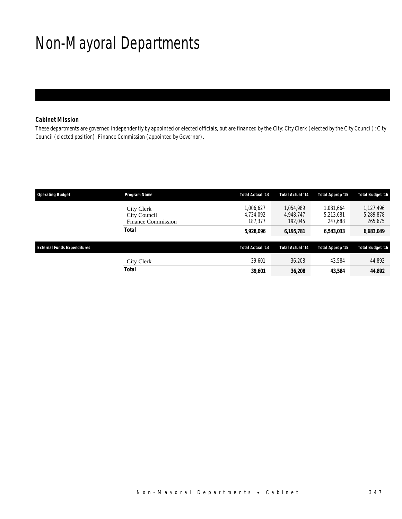# Non-Mayoral Departments

## *Cabinet Mission*

These departments are governed independently by appointed or elected officials, but are financed by the City: City Clerk (elected by the City Council); City Council (elected position); Finance Commission (appointed by Governor).

| <b>Operating Budget</b>            | Program Name                                            | Total Actual '13                  | <b>Total Actual '14</b>           | Total Approp '15                  | <b>Total Budget '16</b>           |
|------------------------------------|---------------------------------------------------------|-----------------------------------|-----------------------------------|-----------------------------------|-----------------------------------|
|                                    | City Clerk<br>City Council<br><b>Finance Commission</b> | 1,006,627<br>4.734.092<br>187.377 | 1.054.989<br>4.948.747<br>192.045 | 1.081.664<br>5.213.681<br>247.688 | 1,127,496<br>5,289,878<br>265,675 |
|                                    | Total                                                   | 5,928,096                         | 6,195,781                         | 6,543,033                         | 6,683,049                         |
| <b>External Funds Expenditures</b> |                                                         | Total Actual '13                  | <b>Total Actual '14</b>           | Total Approp '15                  | <b>Total Budget '16</b>           |
|                                    | City Clerk                                              | 39,601                            | 36,208                            | 43.584                            | 44,892                            |
|                                    | Total                                                   | 39,601                            | 36,208                            | 43.584                            | 44,892                            |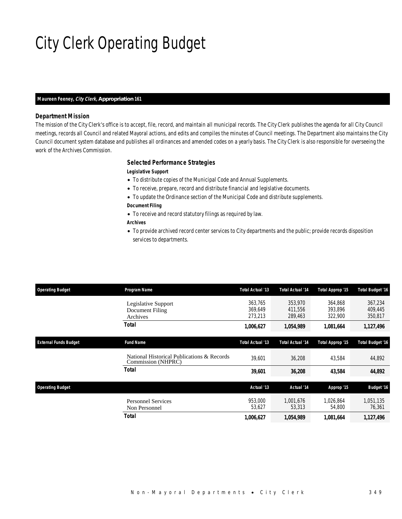# City Clerk Operating Budget

#### *Maureen Feeney, City Clerk, Appropriation 161*

### *Department Mission*

The mission of the City Clerk's office is to accept, file, record, and maintain all municipal records. The City Clerk publishes the agenda for all City Council meetings, records all Council and related Mayoral actions, and edits and compiles the minutes of Council meetings. The Department also maintains the City Council document system database and publishes all ordinances and amended codes on a yearly basis. The City Clerk is also responsible for overseeing the work of the Archives Commission.

### *Selected Performance Strategies*

### *Legislative Support*

- To distribute copies of the Municipal Code and Annual Supplements.
- To receive, prepare, record and distribute financial and legislative documents.
- To update the Ordinance section of the Municipal Code and distribute supplements.
- *Document Filing*
- To receive and record statutory filings as required by law.

### *Archives*

• To provide archived record center services to City departments and the public; provide records disposition services to departments.

| <b>Operating Budget</b>      | Program Name                                                     | Total Actual '13              | <b>Total Actual '14</b>       | Total Approp '15              | <b>Total Budget '16</b>       |
|------------------------------|------------------------------------------------------------------|-------------------------------|-------------------------------|-------------------------------|-------------------------------|
|                              | Legislative Support<br>Document Filing<br>Archives               | 363.765<br>369.649<br>273,213 | 353,970<br>411,556<br>289,463 | 364.868<br>393.896<br>322,900 | 367.234<br>409,445<br>350,817 |
|                              | Total                                                            | 1,006,627                     | 1,054,989                     | 1,081,664                     | 1,127,496                     |
| <b>External Funds Budget</b> | <b>Fund Name</b>                                                 | Total Actual '13              | <b>Total Actual '14</b>       | Total Approp '15              | <b>Total Budget '16</b>       |
|                              | National Historical Publications & Records<br>Commission (NHPRC) | 39.601                        | 36,208                        | 43.584                        | 44,892                        |
|                              | Total                                                            | 39,601                        | 36,208                        | 43,584                        | 44,892                        |
| <b>Operating Budget</b>      |                                                                  | Actual '13                    | Actual '14                    | Approp '15                    | <b>Budget '16</b>             |
|                              | <b>Personnel Services</b><br>Non Personnel                       | 953.000<br>53,627             | 1.001.676<br>53,313           | 1.026.864<br>54,800           | 1,051,135<br>76,361           |
|                              | Total                                                            | 1,006,627                     | 1,054,989                     | 1,081,664                     | 1,127,496                     |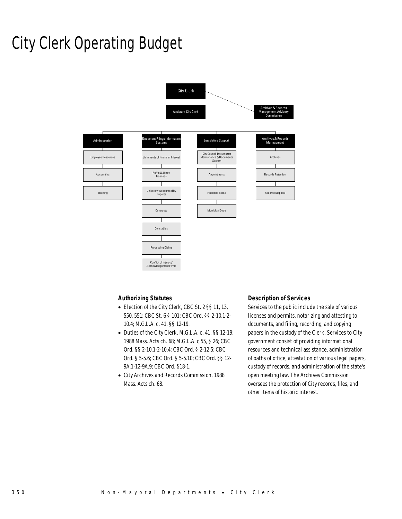## City Clerk Operating Budget



### *Authorizing Statutes*

- Election of the City Clerk, CBC St. 2 §§ 11, 13, 550, 551; CBC St. 6 § 101; CBC Ord. §§ 2-10.1-2- 10.4; M.G.L.A. c. 41, §§ 12-19.
- Duties of the City Clerk, M.G.L.A. c. 41, §§ 12-19; 1988 Mass. Acts ch. 68; M.G.L.A. c.55, § 26; CBC Ord. §§ 2-10.1-2-10.4; CBC Ord. § 2-12.5; CBC Ord. § 5-5.6; CBC Ord. § 5-5.10; CBC Ord. §§ 12- 9A.1-12-9A.9; CBC Ord. §18-1.
- City Archives and Records Commission, 1988 Mass. Acts ch. 68.

#### *Description of Services*

Services to the public include the sale of various licenses and permits, notarizing and attesting to documents, and filing, recording, and copying papers in the custody of the Clerk. Services to City government consist of providing informational resources and technical assistance, administration of oaths of office, attestation of various legal papers, custody of records, and administration of the state's open meeting law. The Archives Commission oversees the protection of City records, files, and other items of historic interest.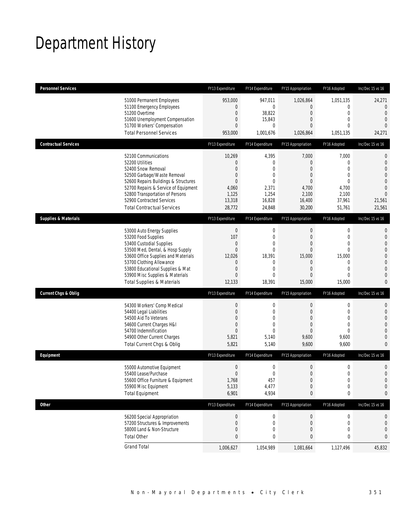## Department History

| <b>Personnel Services</b>       |                                                                                                                                                                                                                                                                                                      | FY13 Expenditure                                                                                         | FY14 Expenditure                                                                                                                   | FY15 Appropriation                                                                                                          | FY16 Adopted                                                                                                           | Inc/Dec 15 vs 16                                                                                     |
|---------------------------------|------------------------------------------------------------------------------------------------------------------------------------------------------------------------------------------------------------------------------------------------------------------------------------------------------|----------------------------------------------------------------------------------------------------------|------------------------------------------------------------------------------------------------------------------------------------|-----------------------------------------------------------------------------------------------------------------------------|------------------------------------------------------------------------------------------------------------------------|------------------------------------------------------------------------------------------------------|
|                                 | 51000 Permanent Employees<br>51100 Emergency Employees<br>51200 Overtime<br>51600 Unemployment Compensation<br>51700 Workers' Compensation<br><b>Total Personnel Services</b>                                                                                                                        | 953,000<br>$\mathbf{0}$<br>0<br>0<br>$\overline{0}$<br>953,000                                           | 947,011<br>$\mathbf 0$<br>38,822<br>15,843<br>$\mathbf 0$<br>1,001,676                                                             | 1,026,864<br>$\mathbf{0}$<br>$\overline{0}$<br>$\mathbf{0}$<br>$\mathbf{0}$<br>1,026,864                                    | 1,051,135<br>0<br>$\mathbf 0$<br>$\mathbf{0}$<br>$\theta$<br>1,051,135                                                 | 24,271<br>0<br>$\theta$<br>$\overline{0}$<br>$\Omega$<br>24,271                                      |
| <b>Contractual Services</b>     |                                                                                                                                                                                                                                                                                                      | FY13 Expenditure                                                                                         | FY14 Expenditure                                                                                                                   | FY15 Appropriation                                                                                                          | FY16 Adopted                                                                                                           | Inc/Dec 15 vs 16                                                                                     |
|                                 | 52100 Communications<br>52200 Utilities<br>52400 Snow Removal<br>52500 Garbage/Waste Removal<br>52600 Repairs Buildings & Structures<br>52700 Repairs & Service of Equipment<br>52800 Transportation of Persons<br>52900 Contracted Services<br><b>Total Contractual Services</b>                    | 10,269<br>0<br>$\overline{0}$<br>$\mathbf 0$<br>$\overline{0}$<br>4,060<br>1,125<br>13,318<br>28,772     | 4,395<br>$\mathbf 0$<br>$\mathbf 0$<br>$\mathbf{0}$<br>$\mathbf{0}$<br>2,371<br>1,254<br>16,828<br>24,848                          | 7,000<br>$\mathbf{0}$<br>$\mathbf{0}$<br>$\mathbf{0}$<br>$\mathbf{0}$<br>4,700<br>2,100<br>16,400<br>30,200                 | 7,000<br>0<br>$\overline{0}$<br>$\overline{0}$<br>$\mathbf{0}$<br>4,700<br>2,100<br>37,961<br>51,761                   | 0<br>$\mathbf 0$<br>$\overline{0}$<br>0<br>0<br>$\overline{0}$<br>$\overline{0}$<br>21,561<br>21,561 |
| <b>Supplies &amp; Materials</b> |                                                                                                                                                                                                                                                                                                      | FY13 Expenditure                                                                                         | FY14 Expenditure                                                                                                                   | FY15 Appropriation                                                                                                          | FY16 Adopted                                                                                                           | Inc/Dec 15 vs 16                                                                                     |
|                                 | 53000 Auto Energy Supplies<br>53200 Food Supplies<br>53400 Custodial Supplies<br>53500 Med, Dental, & Hosp Supply<br>53600 Office Supplies and Materials<br>53700 Clothing Allowance<br>53800 Educational Supplies & Mat<br>53900 Misc Supplies & Materials<br><b>Total Supplies &amp; Materials</b> | $\boldsymbol{0}$<br>107<br>$\mathbf 0$<br>$\overline{0}$<br>12,026<br>0<br>0<br>$\overline{0}$<br>12,133 | $\boldsymbol{0}$<br>$\mathbf{0}$<br>$\mathbf 0$<br>$\overline{0}$<br>18,391<br>$\mathbf 0$<br>$\mathbf 0$<br>$\mathbf 0$<br>18,391 | $\mathbf 0$<br>$\overline{0}$<br>$\overline{0}$<br>$\overline{0}$<br>15,000<br>$\mathbf 0$<br>$\overline{0}$<br>0<br>15,000 | 0<br>$\mathbf{0}$<br>$\mathbf{0}$<br>$\mathbf{0}$<br>15,000<br>$\mathbf 0$<br>$\mathbf{0}$<br>$\overline{0}$<br>15,000 | 0<br>$\mathbf 0$<br>0<br>0<br>0<br>$\overline{0}$<br>$\mathbf 0$<br>0<br>0                           |
| <b>Current Chgs &amp; Oblig</b> |                                                                                                                                                                                                                                                                                                      | FY13 Expenditure                                                                                         | FY14 Expenditure                                                                                                                   | FY15 Appropriation                                                                                                          | FY16 Adopted                                                                                                           | Inc/Dec 15 vs 16                                                                                     |
|                                 | 54300 Workers' Comp Medical<br>54400 Legal Liabilities<br>54500 Aid To Veterans<br>54600 Current Charges H&I<br>54700 Indemnification<br>54900 Other Current Charges<br>Total Current Chgs & Oblig                                                                                                   | $\boldsymbol{0}$<br>$\boldsymbol{0}$<br>0<br>$\mathbf 0$<br>$\overline{0}$<br>5,821<br>5,821             | $\boldsymbol{0}$<br>$\mathbf 0$<br>$\mathbf 0$<br>$\mathbf 0$<br>$\overline{0}$<br>5,140<br>5,140                                  | $\boldsymbol{0}$<br>$\mathbf 0$<br>$\overline{0}$<br>$\overline{0}$<br>$\overline{0}$<br>9,600<br>9,600                     | $\boldsymbol{0}$<br>$\mathbf 0$<br>$\mathbf{0}$<br>$\overline{0}$<br>$\theta$<br>9,600<br>9,600                        | 0<br>$\mathbf 0$<br>0<br>0<br>0<br>$\overline{0}$<br>0                                               |
| Equipment                       |                                                                                                                                                                                                                                                                                                      | FY13 Expenditure                                                                                         | FY14 Expenditure                                                                                                                   | FY15 Appropriation                                                                                                          | FY16 Adopted                                                                                                           | Inc/Dec 15 vs 16                                                                                     |
|                                 | 55000 Automotive Equipment<br>55400 Lease/Purchase<br>55600 Office Furniture & Equipment<br>55900 Misc Equipment<br><b>Total Equipment</b>                                                                                                                                                           | $\boldsymbol{0}$<br>$\Omega$<br>1,768<br>5,133<br>6,901                                                  | 0<br>$\mathbf 0$<br>457<br>4,477<br>4,934                                                                                          | $\boldsymbol{0}$<br>$\mathbf{0}$<br>$\theta$<br>$\mathbf 0$<br>0                                                            | $\boldsymbol{0}$<br>$\mathbf 0$<br>$\boldsymbol{0}$<br>$\boldsymbol{0}$<br>0                                           | 0<br>$\overline{0}$<br>$\mathbf 0$<br>0<br>0                                                         |
| <b>Other</b>                    |                                                                                                                                                                                                                                                                                                      | FY13 Expenditure                                                                                         | FY14 Expenditure                                                                                                                   | FY15 Appropriation                                                                                                          | FY16 Adopted                                                                                                           | Inc/Dec 15 vs 16                                                                                     |
|                                 | 56200 Special Appropriation<br>57200 Structures & Improvements<br>58000 Land & Non-Structure<br><b>Total Other</b>                                                                                                                                                                                   | 0<br>0<br>$\mathbf 0$<br>0                                                                               | 0<br>0<br>$\mathbf 0$<br>0                                                                                                         | $\pmb{0}$<br>$\theta$<br>$\mathbf 0$<br>0                                                                                   | 0<br>0<br>$\mathbf 0$<br>0                                                                                             | 0<br>0<br>0<br>0                                                                                     |
|                                 | <b>Grand Total</b>                                                                                                                                                                                                                                                                                   | 1,006,627                                                                                                | 1,054,989                                                                                                                          | 1,081,664                                                                                                                   | 1,127,496                                                                                                              | 45,832                                                                                               |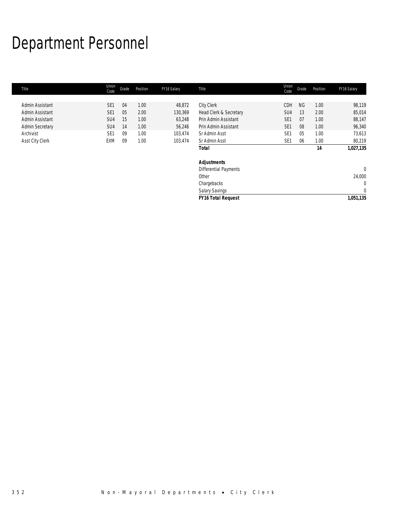# Department Personnel

| Title                  | Union<br>Code   | Grade | Position | FY16 Salary | Title                        | Union<br>Code   | Grade     | Position | FY16 Salary  |
|------------------------|-----------------|-------|----------|-------------|------------------------------|-----------------|-----------|----------|--------------|
|                        |                 |       |          |             |                              |                 |           |          |              |
| Admin Assistant        | SE <sub>1</sub> | 04    | 1.00     | 48,872      | City Clerk                   | CDH             | <b>NG</b> | 1.00     | 98,119       |
| Admin Assistant        | SE <sub>1</sub> | 05    | 2.00     | 130,369     | Head Clerk & Secretary       | SU <sub>4</sub> | 13        | 2.00     | 85,014       |
| Admin Assistant        | SU <sub>4</sub> | 15    | 1.00     | 63,248      | Prin Admin Assistant         | SE <sub>1</sub> | 07        | 1.00     | 88,147       |
| <b>Admin Secretary</b> | SU <sub>4</sub> | 14    | 1.00     | 56,246      | Prin Admin Assistant         | SE <sub>1</sub> | 08        | 1.00     | 96,340       |
| Archivist              | SE <sub>1</sub> | 09    | 1.00     | 103,474     | Sr Admin Asst                | SE <sub>1</sub> | 05        | 1.00     | 73,613       |
| Asst City Clerk        | EXM             | 09    | 1.00     | 103,474     | Sr Admin Asst                | SE <sub>1</sub> | 06        | 1.00     | 80,219       |
|                        |                 |       |          |             | <b>Total</b>                 |                 |           | 14       | 1,027,135    |
|                        |                 |       |          |             | <b>Adjustments</b>           |                 |           |          |              |
|                        |                 |       |          |             | <b>Differential Payments</b> |                 |           |          | $\mathbf{0}$ |
|                        |                 |       |          |             | Other                        |                 |           |          | 24,000       |
|                        |                 |       |          |             | Chargebacks                  |                 |           |          | 0            |
|                        |                 |       |          |             | Salary Savings               |                 |           |          | $\mathbf 0$  |
|                        |                 |       |          |             | <b>FY16 Total Request</b>    |                 |           |          | 1,051,135    |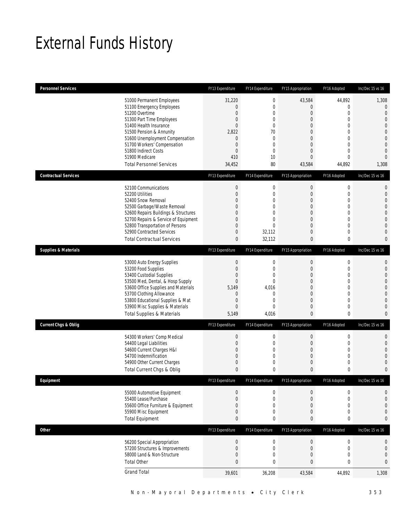## External Funds History

| <b>Personnel Services</b>       |                                                                                                                                                                                                                                                                                                            | FY13 Expenditure                                                                                                                              | FY14 Expenditure                                                                                                                                   | FY15 Appropriation                                                    | FY16 Adopted                                                                                                                                                    | Inc/Dec 15 vs 16                                                                                                                                                            |
|---------------------------------|------------------------------------------------------------------------------------------------------------------------------------------------------------------------------------------------------------------------------------------------------------------------------------------------------------|-----------------------------------------------------------------------------------------------------------------------------------------------|----------------------------------------------------------------------------------------------------------------------------------------------------|-----------------------------------------------------------------------|-----------------------------------------------------------------------------------------------------------------------------------------------------------------|-----------------------------------------------------------------------------------------------------------------------------------------------------------------------------|
|                                 | 51000 Permanent Employees<br>51100 Emergency Employees<br>51200 Overtime<br>51300 Part Time Employees<br>51400 Health Insurance<br>51500 Pension & Annunity<br>51600 Unemployment Compensation<br>51700 Workers' Compensation<br>51800 Indirect Costs<br>51900 Medicare<br><b>Total Personnel Services</b> | 31,220<br>$\mathbf 0$<br>$\mathbf 0$<br>$\mathbf 0$<br>$\overline{0}$<br>2,822<br>$\mathbf{0}$<br>$\mathbf 0$<br>$\mathbf 0$<br>410<br>34,452 | $\boldsymbol{0}$<br>$\boldsymbol{0}$<br>$\mathbf 0$<br>$\mathbf{0}$<br>$\mathbf 0$<br>70<br>$\mathbf{0}$<br>$\mathbf 0$<br>$\mathbf 0$<br>10<br>80 | 43,584<br>0<br>0<br>0<br>0<br>0<br>0<br>0<br>0<br>0<br>43,584         | 44,892<br>$\mathbf{0}$<br>$\mathbf 0$<br>$\mathbf{0}$<br>$\mathbf{0}$<br>$\mathbf{0}$<br>$\mathbf{0}$<br>$\mathbf{0}$<br>$\mathbf{0}$<br>$\mathbf{0}$<br>44,892 | 1,308<br>$\mathbf 0$<br>$\overline{0}$<br>$\overline{0}$<br>$\overline{0}$<br>$\overline{0}$<br>$\mathbf{0}$<br>$\overline{0}$<br>$\overline{0}$<br>$\overline{0}$<br>1,308 |
| <b>Contractual Services</b>     |                                                                                                                                                                                                                                                                                                            | FY13 Expenditure                                                                                                                              | FY14 Expenditure                                                                                                                                   | FY15 Appropriation                                                    | FY16 Adopted                                                                                                                                                    | Inc/Dec 15 vs 16                                                                                                                                                            |
|                                 | 52100 Communications<br>52200 Utilities<br>52400 Snow Removal<br>52500 Garbage/Waste Removal<br>52600 Repairs Buildings & Structures<br>52700 Repairs & Service of Equipment<br>52800 Transportation of Persons<br>52900 Contracted Services<br><b>Total Contractual Services</b>                          | $\theta$<br>$\boldsymbol{0}$<br>0<br>0<br>0<br>0<br>0<br>0<br>0                                                                               | $\boldsymbol{0}$<br>$\mathbf 0$<br>$\mathbf 0$<br>0<br>$\mathbf{0}$<br>$\mathbf 0$<br>$\overline{0}$<br>32,112<br>32,112                           | $\boldsymbol{0}$<br>0<br>0<br>$\mathbf 0$<br>0<br>0<br>0<br>0<br>0    | $\mathbf 0$<br>$\mathbf 0$<br>$\mathbf{0}$<br>$\mathbf{0}$<br>$\mathbf{0}$<br>$\mathbf{0}$<br>$\mathbf{0}$<br>$\mathbf{0}$<br>0                                 | 0<br>$\mathbf{0}$<br>$\overline{0}$<br>$\Omega$<br>$\mathbf{0}$<br>$\overline{0}$<br>$\overline{0}$<br>$\overline{0}$<br>$\bf{0}$                                           |
| <b>Supplies &amp; Materials</b> |                                                                                                                                                                                                                                                                                                            | FY13 Expenditure                                                                                                                              | FY14 Expenditure                                                                                                                                   | FY15 Appropriation                                                    | FY16 Adopted                                                                                                                                                    | Inc/Dec 15 vs 16                                                                                                                                                            |
|                                 | 53000 Auto Energy Supplies<br>53200 Food Supplies<br>53400 Custodial Supplies<br>53500 Med, Dental, & Hosp Supply<br>53600 Office Supplies and Materials<br>53700 Clothing Allowance<br>53800 Educational Supplies & Mat<br>53900 Misc Supplies & Materials<br><b>Total Supplies &amp; Materials</b>       | $\boldsymbol{0}$<br>$\boldsymbol{0}$<br>0<br>$\overline{0}$<br>5,149<br>$\theta$<br>$\boldsymbol{0}$<br>0<br>5,149                            | $\boldsymbol{0}$<br>$\mathbf 0$<br>$\mathbf 0$<br>$\mathbf 0$<br>4,016<br>$\mathbf 0$<br>$\mathbf 0$<br>$\mathbf 0$<br>4,016                       | $\boldsymbol{0}$<br>0<br>0<br>0<br>$\overline{0}$<br>0<br>0<br>0<br>0 | $\mathbf 0$<br>$\mathbf{0}$<br>$\mathbf{0}$<br>$\mathbf{0}$<br>$\mathbf{0}$<br>$\mathbf{0}$<br>$\mathbf{0}$<br>$\mathbf{0}$<br>0                                | $\mathbf{0}$<br>$\mathbf{0}$<br>$\overline{0}$<br>$\overline{0}$<br>$\mathbf{0}$<br>$\overline{0}$<br>$\overline{0}$<br>$\overline{0}$<br>$\mathbf{0}$                      |
| <b>Current Chgs &amp; Oblig</b> |                                                                                                                                                                                                                                                                                                            | FY13 Expenditure                                                                                                                              | FY14 Expenditure                                                                                                                                   | FY15 Appropriation                                                    | FY16 Adopted                                                                                                                                                    | Inc/Dec 15 vs 16                                                                                                                                                            |
|                                 | 54300 Workers' Comp Medical<br>54400 Legal Liabilities<br>54600 Current Charges H&I<br>54700 Indemnification<br>54900 Other Current Charges<br>Total Current Chgs & Oblig                                                                                                                                  | $\boldsymbol{0}$<br>$\boldsymbol{0}$<br>0<br>0<br>0<br>$\mathbf{0}$                                                                           | $\boldsymbol{0}$<br>$\boldsymbol{0}$<br>$\mathbf 0$<br>$\mathbf 0$<br>$\mathbf 0$<br>0                                                             | $\boldsymbol{0}$<br>0<br>0<br>0<br>0<br>0                             | $\mathbf 0$<br>$\mathbf 0$<br>$\mathbf{0}$<br>$\mathbf{0}$<br>$\mathbf 0$<br>$\mathbf 0$                                                                        | $\mathbf{0}$<br>$\mathbf{0}$<br>$\overline{0}$<br>$\Omega$<br>$\mathbf{0}$<br>$\bf{0}$                                                                                      |
| Equipment                       |                                                                                                                                                                                                                                                                                                            | FY13 Expenditure                                                                                                                              | FY14 Expenditure                                                                                                                                   | FY15 Appropriation                                                    | FY16 Adopted                                                                                                                                                    | Inc/Dec 15 vs 16                                                                                                                                                            |
|                                 | 55000 Automotive Equipment<br>55400 Lease/Purchase<br>55600 Office Furniture & Equipment<br>55900 Misc Equipment<br><b>Total Equipment</b>                                                                                                                                                                 | $\theta$<br>$\boldsymbol{0}$<br>0<br>0<br>0                                                                                                   | 0<br>$\boldsymbol{0}$<br>$\boldsymbol{0}$<br>$\mathbf 0$<br>$\bf{0}$                                                                               | $\boldsymbol{0}$<br>$\mathbf 0$<br>$\mathbf 0$<br>0<br>0              | $\boldsymbol{0}$<br>$\mathbf 0$<br>$\mathbf{0}$<br>$\mathbf 0$<br>0                                                                                             | 0<br>$\mathbf{0}$<br>$\mathbf{0}$<br>$\mathbf{0}$<br>$\bf{0}$                                                                                                               |
| <b>Other</b>                    |                                                                                                                                                                                                                                                                                                            | FY13 Expenditure                                                                                                                              | FY14 Expenditure                                                                                                                                   | FY15 Appropriation                                                    | FY16 Adopted                                                                                                                                                    | Inc/Dec 15 vs 16                                                                                                                                                            |
|                                 | 56200 Special Appropriation<br>57200 Structures & Improvements<br>58000 Land & Non-Structure<br><b>Total Other</b>                                                                                                                                                                                         | $\boldsymbol{0}$<br>$\boldsymbol{0}$<br>0<br>0                                                                                                | $\boldsymbol{0}$<br>$\boldsymbol{0}$<br>$\boldsymbol{0}$<br>$\pmb{0}$                                                                              | $\boldsymbol{0}$<br>$\mathbf 0$<br>0<br>0                             | $\mathbf 0$<br>$\mathbf 0$<br>$\mathbf 0$<br>0                                                                                                                  | $\boldsymbol{0}$<br>$\boldsymbol{0}$<br>$\mathbf{0}$<br>0                                                                                                                   |
|                                 | <b>Grand Total</b>                                                                                                                                                                                                                                                                                         | 39,601                                                                                                                                        | 36,208                                                                                                                                             | 43,584                                                                | 44,892                                                                                                                                                          | 1,308                                                                                                                                                                       |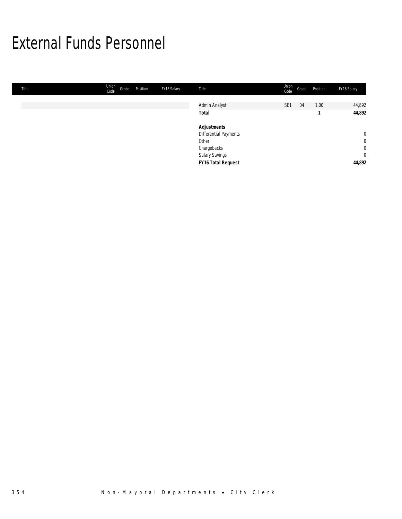## External Funds Personnel

| Title | <b>Union</b><br>Code | Grade | Position | FY16 Salary | Title                 | Union<br>Code | Grade | Position | FY16 Salary |
|-------|----------------------|-------|----------|-------------|-----------------------|---------------|-------|----------|-------------|
|       |                      |       |          |             |                       |               |       |          |             |
|       |                      |       |          |             | Admin Analyst         | SE1           | 04    | 1.00     | 44,892      |
|       |                      |       |          |             | <b>Total</b>          |               |       |          | 44,892      |
|       |                      |       |          |             | <b>Adjustments</b>    |               |       |          |             |
|       |                      |       |          |             | Differential Payments |               |       |          | $\mathbf 0$ |
|       |                      |       |          |             | Other                 |               |       |          | $\mathbf 0$ |
|       |                      |       |          |             | Chargebacks           |               |       |          | $\mathbf 0$ |
|       |                      |       |          |             | Salary Savings        |               |       |          | $\mathbf 0$ |
|       |                      |       |          |             | FY16 Total Request    |               |       |          | 44,892      |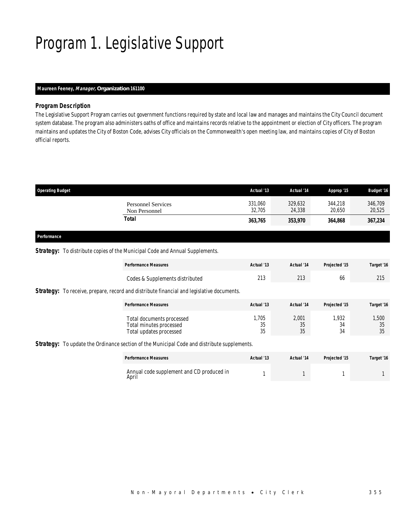# Program 1. Legislative Support

## *Maureen Feeney, Manager, Organization 161100*

### *Program Description*

The Legislative Support Program carries out government functions required by state and local law and manages and maintains the City Council document system database. The program also administers oaths of office and maintains records relative to the appointment or election of City officers. The program maintains and updates the City of Boston Code, advises City officials on the Commonwealth's open meeting law, and maintains copies of City of Boston official reports.

| <b>Personnel Services</b><br>Non Personnel | 329,632<br>344.218<br>24,338<br>20.650 | 346,709<br>20,525 |
|--------------------------------------------|----------------------------------------|-------------------|
| Total                                      | 364.868<br>353,970                     | 367,234           |
|                                            |                                        |                   |

#### *Performance*

#### **Strategy:** To distribute copies of the Municipal Code and Annual Supplements.

| <b>Performance Measures</b>                                                                      | Actual '13 | Actual '14 | Projected '15 | Target '16  |
|--------------------------------------------------------------------------------------------------|------------|------------|---------------|-------------|
| Codes & Supplements distributed                                                                  | 213        | 213        | 66            | 215         |
| <b>Strategy:</b> To receive, prepare, record and distribute financial and legislative documents. |            |            |               |             |
| <b>Performance Measures</b>                                                                      | Actual '13 | Actual '14 | Projected '15 | Target '16  |
| Total documents processed                                                                        | .705       | 2.001      | 1.932<br>34   | 1,500<br>35 |

### **Strategy:** To update the Ordinance section of the Municipal Code and distribute supplements.

| <b>Performance Measures</b>                        | Actual '13 | Actual '14 | Projected '15 | Target '16 |
|----------------------------------------------------|------------|------------|---------------|------------|
| Annual code supplement and CD produced in<br>April |            |            |               |            |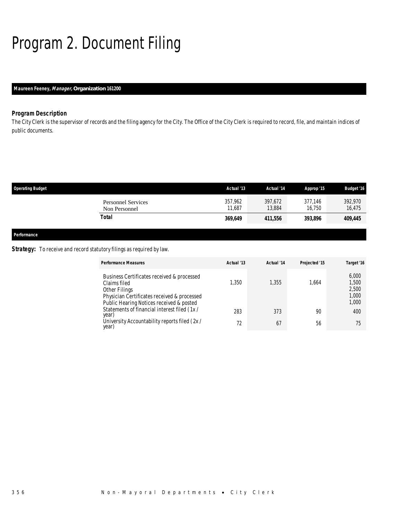# Program 2. Document Filing

## *Maureen Feeney, Manager, Organization 161200*

## *Program Description*

The City Clerk is the supervisor of records and the filing agency for the City. The Office of the City Clerk is required to record, file, and maintain indices of public documents.

| <b>Operating Budget</b> |                                            | Actual '13        | Actual '14        | Approp '15        | <b>Budget '16</b> |
|-------------------------|--------------------------------------------|-------------------|-------------------|-------------------|-------------------|
|                         | <b>Personnel Services</b><br>Non Personnel | 357,962<br>11.687 | 397,672<br>13.884 | 377,146<br>16.750 | 392,970<br>16,475 |
|                         | <b>Total</b>                               | 369,649           | 411,556           | 393,896           | 409,445           |
| Performance             |                                            |                   |                   |                   |                   |

Strategy: To receive and record statutory filings as required by law.

| <b>Performance Measures</b>                                                                                                                                            | Actual '13 | Actual '14 | Projected '15 | Target '16                                |
|------------------------------------------------------------------------------------------------------------------------------------------------------------------------|------------|------------|---------------|-------------------------------------------|
| Business Certificates received & processed<br>Claims filed<br>Other Filings<br>Physician Certificates received & processed<br>Public Hearing Notices received & posted | ,350       | 1,355      | .664          | 6,000<br>1,500<br>2,500<br>1,000<br>1,000 |
| Statements of financial interest filed (1x/<br>year)                                                                                                                   | 283        | 373        | 90            | 400                                       |
| University Accountability reports filed (2x/<br>year)                                                                                                                  | 72         | 67         | 56            | 75                                        |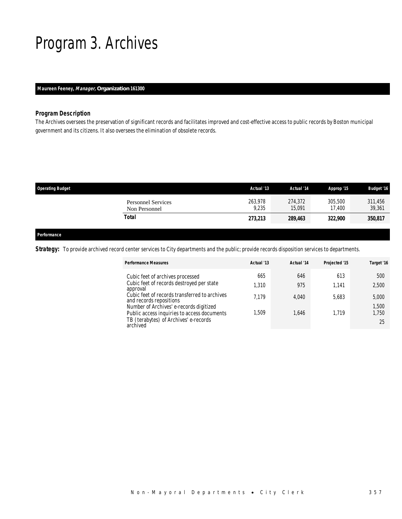## Program 3. Archives

### *Maureen Feeney, Manager, Organization 161300*

#### *Program Description*

The Archives oversees the preservation of significant records and facilitates improved and cost-effective access to public records by Boston municipal government and its citizens. It also oversees the elimination of obsolete records.

| <b>Operating Budget</b>                    | Actual '13       | Actual '14        | Approp '15        | <b>Budget '16</b> |
|--------------------------------------------|------------------|-------------------|-------------------|-------------------|
| <b>Personnel Services</b><br>Non Personnel | 263.978<br>9,235 | 274.372<br>15,091 | 305,500<br>17.400 | 311,456<br>39,361 |
| Total                                      | 273,213          | 289,463           | 322,900           | 350,817           |
|                                            |                  |                   |                   |                   |

### *Performance*

Strategy: To provide archived record center services to City departments and the public; provide records disposition services to departments.

| <b>Performance Measures</b>                                                            | Actual '13 | Actual '14 | Projected '15 | Target '16     |
|----------------------------------------------------------------------------------------|------------|------------|---------------|----------------|
| Cubic feet of archives processed                                                       | 665        | 646        | 613           | 500            |
| Cubic feet of records destroyed per state<br>approval                                  | 1.310      | 975        | 1.141         | 2,500          |
| Cubic feet of records transferred to archives<br>and records repositions               | 7.179      | 4.040      | 5.683         | 5,000          |
| Number of Archives' e-records digitized<br>Public access inquiries to access documents | 1.509      | 1.646      | 1.719         | 1,500<br>1.750 |
| TB (terabytes) of Archives' e-records<br>archived                                      |            |            |               | 25             |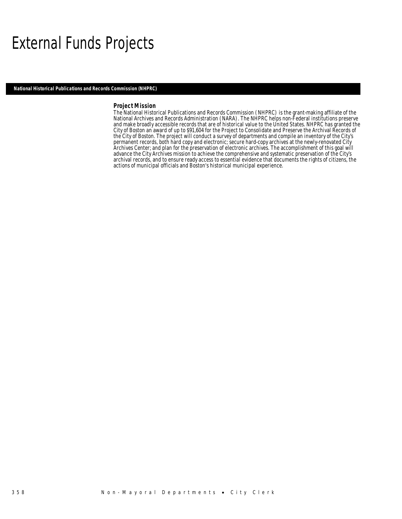## External Funds Projects

*National Historical Publications and Records Commission (NHPRC)* 

#### *Project Mission*

The National Historical Publications and Records Commission (NHPRC) is the grant-making affiliate of the National Archives and Records Administration (NARA). The NHPRC helps non-Federal institutions preserve and make broadly accessible records that are of historical value to the United States. NHPRC has granted the City of Boston an award of up to \$91,604 for the Project to Consolidate and Preserve the Archival Records of the City of Boston. The project will conduct a survey of departments and compile an inventory of the City's permanent records, both hard copy and electronic; secure hard-copy archives at the newly-renovated City Archives Center; and plan for the preservation of electronic archives. The accomplishment of this goal will advance the City Archives mission to achieve the comprehensive and systematic preservation of the City's archival records, and to ensure ready access to essential evidence that documents the rights of citizens, the actions of municipal officials and Boston's historical municipal experience.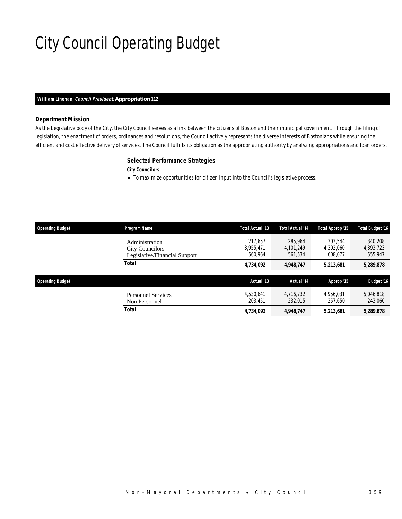# City Council Operating Budget

#### *William Linehan, Council President, Appropriation 112*

### *Department Mission*

As the Legislative body of the City, the City Council serves as a link between the citizens of Boston and their municipal government. Through the filing of legislation, the enactment of orders, ordinances and resolutions, the Council actively represents the diverse interests of Bostonians while ensuring the efficient and cost effective delivery of services. The Council fulfills its obligation as the appropriating authority by analyzing appropriations and loan orders.

#### *Selected Performance Strategies*

*City Councilors* 

• To maximize opportunities for citizen input into the Council's legislative process.

| <b>Operating Budget</b> | Program Name                                                              | Total Actual '13                | <b>Total Actual '14</b>         | Total Approp '15                | <b>Total Budget '16</b>         |
|-------------------------|---------------------------------------------------------------------------|---------------------------------|---------------------------------|---------------------------------|---------------------------------|
|                         | Administration<br><b>City Councilors</b><br>Legislative/Financial Support | 217.657<br>3,955,471<br>560.964 | 285,964<br>4.101.249<br>561.534 | 303.544<br>4,302,060<br>608.077 | 340.208<br>4,393,723<br>555,947 |
|                         | Total                                                                     | 4,734,092                       | 4,948,747                       | 5,213,681                       | 5,289,878                       |
|                         |                                                                           |                                 |                                 |                                 |                                 |
| <b>Operating Budget</b> |                                                                           | Actual '13                      | Actual '14                      | Approp '15                      | <b>Budget '16</b>               |
|                         | <b>Personnel Services</b><br>Non Personnel                                | 4.530.641<br>203,451            | 4.716.732<br>232,015            | 4.956.031<br>257.650            | 5,046,818<br>243,060            |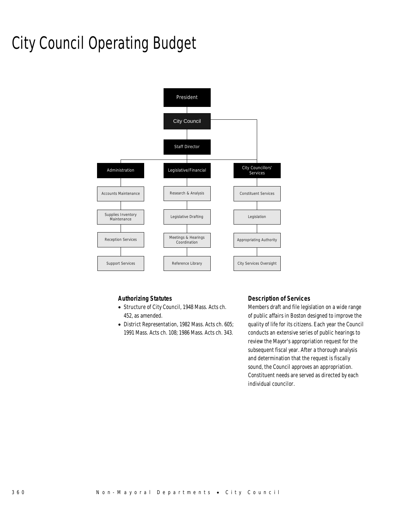# City Council Operating Budget



## *Authorizing Statutes*

- Structure of City Council, 1948 Mass. Acts ch. 452, as amended.
- District Representation, 1982 Mass. Acts ch. 605; 1991 Mass. Acts ch. 108; 1986 Mass. Acts ch. 343.

## *Description of Services*

Members draft and file legislation on a wide range of public affairs in Boston designed to improve the quality of life for its citizens. Each year the Council conducts an extensive series of public hearings to review the Mayor's appropriation request for the subsequent fiscal year. After a thorough analysis and determination that the request is fiscally sound, the Council approves an appropriation. Constituent needs are served as directed by each individual councilor.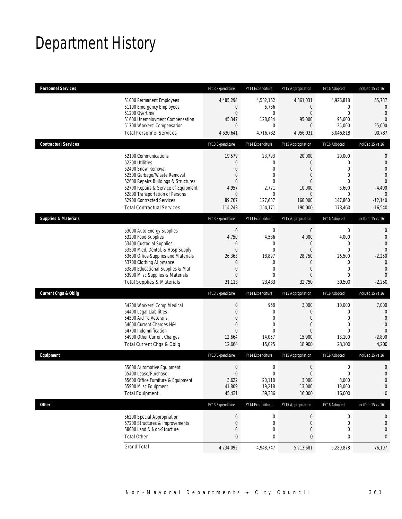## Department History

| <b>Personnel Services</b>       |                                                                                                                                                                                                                                                                                                      | FY13 Expenditure                                                                                             | FY14 Expenditure                                                                                        | FY15 Appropriation                                                                                          | FY16 Adopted                                                                                               | Inc/Dec 15 vs 16                                                                                                       |
|---------------------------------|------------------------------------------------------------------------------------------------------------------------------------------------------------------------------------------------------------------------------------------------------------------------------------------------------|--------------------------------------------------------------------------------------------------------------|---------------------------------------------------------------------------------------------------------|-------------------------------------------------------------------------------------------------------------|------------------------------------------------------------------------------------------------------------|------------------------------------------------------------------------------------------------------------------------|
|                                 | 51000 Permanent Employees<br>51100 Emergency Employees<br>51200 Overtime                                                                                                                                                                                                                             | 4,485,294<br>$\mathbf{0}$<br>0                                                                               | 4,582,162<br>5,736<br>$\mathbf{0}$                                                                      | 4,861,031<br>$\mathbf{0}$<br>$\overline{0}$                                                                 | 4,926,818<br>0<br>$\mathbf 0$                                                                              | 65,787<br>0<br>$\theta$                                                                                                |
|                                 | 51600 Unemployment Compensation<br>51700 Workers' Compensation<br><b>Total Personnel Services</b>                                                                                                                                                                                                    | 45,347<br>$\overline{0}$<br>4,530,641                                                                        | 128,834<br>$\mathbf 0$<br>4,716,732                                                                     | 95,000<br>$\theta$<br>4,956,031                                                                             | 95,000<br>25,000<br>5,046,818                                                                              | $\overline{0}$<br>25,000<br>90,787                                                                                     |
|                                 |                                                                                                                                                                                                                                                                                                      |                                                                                                              |                                                                                                         |                                                                                                             |                                                                                                            |                                                                                                                        |
| <b>Contractual Services</b>     |                                                                                                                                                                                                                                                                                                      | FY13 Expenditure                                                                                             | FY14 Expenditure                                                                                        | FY15 Appropriation                                                                                          | FY16 Adopted                                                                                               | Inc/Dec 15 vs 16                                                                                                       |
|                                 | 52100 Communications<br>52200 Utilities<br>52400 Snow Removal<br>52500 Garbage/Waste Removal<br>52600 Repairs Buildings & Structures<br>52700 Repairs & Service of Equipment<br>52800 Transportation of Persons<br>52900 Contracted Services<br><b>Total Contractual Services</b>                    | 19,579<br>0<br>$\overline{0}$<br>0<br>$\overline{0}$<br>4,957<br>$\mathbf 0$<br>89,707<br>114,243            | 23,793<br>0<br>$\mathbf 0$<br>$\mathbf{0}$<br>$\mathbf 0$<br>2,771<br>$\mathbf 0$<br>127,607<br>154,171 | 20,000<br>$\overline{0}$<br>$\overline{0}$<br>0<br>$\Omega$<br>10,000<br>$\mathbf{0}$<br>160,000<br>190,000 | 20,000<br>0<br>$\overline{0}$<br>$\overline{0}$<br>$\theta$<br>5,600<br>$\mathbf{0}$<br>147,860<br>173,460 | 0<br>$\mathbf 0$<br>$\Omega$<br>$\overline{0}$<br>$\overline{0}$<br>$-4,400$<br>$\mathbf{0}$<br>$-12,140$<br>$-16,540$ |
| <b>Supplies &amp; Materials</b> |                                                                                                                                                                                                                                                                                                      | FY13 Expenditure                                                                                             | FY14 Expenditure                                                                                        | FY15 Appropriation                                                                                          | FY16 Adopted                                                                                               | Inc/Dec 15 vs 16                                                                                                       |
|                                 | 53000 Auto Energy Supplies<br>53200 Food Supplies<br>53400 Custodial Supplies<br>53500 Med, Dental, & Hosp Supply<br>53600 Office Supplies and Materials<br>53700 Clothing Allowance<br>53800 Educational Supplies & Mat<br>53900 Misc Supplies & Materials<br><b>Total Supplies &amp; Materials</b> | $\boldsymbol{0}$<br>4,750<br>0<br>$\boldsymbol{0}$<br>26,363<br>0<br>$\mathbf 0$<br>$\overline{0}$<br>31,113 | $\mathbf 0$<br>4,586<br>0<br>$\mathbf{0}$<br>18,897<br>$\mathbf 0$<br>$\mathbf 0$<br>$\theta$<br>23,483 | $\mathbf 0$<br>4,000<br>0<br>$\mathbf 0$<br>28,750<br>$\mathbf 0$<br>$\overline{0}$<br>0<br>32,750          | 0<br>4,000<br>0<br>$\mathbf 0$<br>26,500<br>0<br>$\mathbf 0$<br>$\mathbf 0$<br>30,500                      | 0<br>$\mathbf 0$<br>$\overline{0}$<br>$\Omega$<br>$-2,250$<br>$\theta$<br>$\theta$<br>$\Omega$<br>$-2,250$             |
| <b>Current Chgs &amp; Oblig</b> |                                                                                                                                                                                                                                                                                                      | FY13 Expenditure                                                                                             | FY14 Expenditure                                                                                        | FY15 Appropriation                                                                                          | FY16 Adopted                                                                                               | Inc/Dec 15 vs 16                                                                                                       |
|                                 | 54300 Workers' Comp Medical<br>54400 Legal Liabilities<br>54500 Aid To Veterans<br>54600 Current Charges H&I<br>54700 Indemnification<br>54900 Other Current Charges<br>Total Current Chgs & Oblig                                                                                                   | $\boldsymbol{0}$<br>$\mathbf 0$<br>0<br>$\mathbf 0$<br>$\Omega$<br>12,664<br>12,664                          | 968<br>$\mathbf 0$<br>$\mathbf{0}$<br>$\mathbf 0$<br>$\theta$<br>14,057<br>15,025                       | 3,000<br>$\mathbf{0}$<br>$\overline{0}$<br>$\overline{0}$<br>$\Omega$<br>15,900<br>18,900                   | 10,000<br>0<br>$\mathbf{0}$<br>$\mathbf{0}$<br>$\theta$<br>13,100<br>23,100                                | 7,000<br>$\mathbf{0}$<br>$\theta$<br>$\mathbf{0}$<br>$\overline{0}$<br>$-2,800$<br>4,200                               |
| Equipment                       |                                                                                                                                                                                                                                                                                                      | FY13 Expenditure                                                                                             | FY14 Expenditure                                                                                        | FY15 Appropriation                                                                                          | FY16 Adopted                                                                                               | Inc/Dec 15 vs 16                                                                                                       |
|                                 | 55000 Automotive Equipment<br>55400 Lease/Purchase<br>55600 Office Furniture & Equipment<br>55900 Misc Equipment<br><b>Total Equipment</b>                                                                                                                                                           | $\boldsymbol{0}$<br>$\overline{0}$<br>3,622<br>41,809<br>45,431                                              | $\mathbf 0$<br>$\mathbf 0$<br>20,118<br>19,218<br>39,336                                                | $\boldsymbol{0}$<br>$\mathbf{0}$<br>3,000<br>13,000<br>16,000                                               | $\boldsymbol{0}$<br>$\mathbf 0$<br>3,000<br>13,000<br>16,000                                               | 0<br>$\overline{0}$<br>$\mathbf 0$<br>0<br>0                                                                           |
| Other                           |                                                                                                                                                                                                                                                                                                      | FY13 Expenditure                                                                                             | FY14 Expenditure                                                                                        | FY15 Appropriation                                                                                          | FY16 Adopted                                                                                               | Inc/Dec 15 vs 16                                                                                                       |
|                                 | 56200 Special Appropriation<br>57200 Structures & Improvements<br>58000 Land & Non-Structure<br><b>Total Other</b>                                                                                                                                                                                   | $\boldsymbol{0}$<br>0<br>$\mathbf 0$<br>0                                                                    | 0<br>0<br>$\mathbf 0$<br>0                                                                              | $\mathbf 0$<br>$\theta$<br>$\mathbf 0$<br>0                                                                 | 0<br>0<br>$\mathbf 0$<br>0                                                                                 | 0<br>0<br>0<br>0                                                                                                       |
|                                 | <b>Grand Total</b>                                                                                                                                                                                                                                                                                   | 4,734,092                                                                                                    | 4,948,747                                                                                               | 5,213,681                                                                                                   | 5,289,878                                                                                                  | 76,197                                                                                                                 |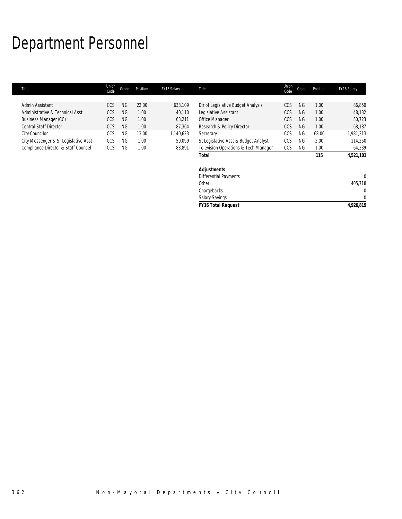## Department Personnel

г

| Title                                | Union<br>Code | Grade     | Position | FY16 Salary | <b>Title</b>                         | Union<br>Code | Grade     | Position | FY16 Salary  |
|--------------------------------------|---------------|-----------|----------|-------------|--------------------------------------|---------------|-----------|----------|--------------|
|                                      |               |           |          |             |                                      |               |           |          |              |
| Admin Assistant                      | CCS           | <b>NG</b> | 22.00    | 633,109     | Dir of Legislative Budget Analysis   | CCS           | <b>NG</b> | 1.00     | 86,850       |
| Administrative & Technical Asst      | CCS           | <b>NG</b> | 1.00     | 40,110      | Legislative Assistant                | CCS           | NG.       | 1.00     | 48,132       |
| Business Manager (CC)                | CCS           | <b>NG</b> | 1.00     | 63,211      | Office Manager                       | CCS           | <b>NG</b> | 1.00     | 50,723       |
| <b>Central Staff Director</b>        | <b>CCS</b>    | <b>NG</b> | 1.00     | 87,364      | Research & Policy Director           | <b>CCS</b>    | <b>NG</b> | 1.00     | 68,187       |
| City Councilor                       | CCS           | <b>NG</b> | 13.00    | 1,140,623   | Secretary                            | CCS           | <b>NG</b> | 68.00    | 1,981,313    |
| City Messenger & Sr Legislative Asst | CCS           | <b>NG</b> | 1.00     | 59,099      | St Legislative Asst & Budget Analyst | CCS           | <b>NG</b> | 2.00     | 114,250      |
| Compliance Director & Staff Counsel  | CCS           | NG.       | 1.00     | 83,891      | Television Operations & Tech Manager | CCS           | <b>NG</b> | 1.00     | 64,239       |
|                                      |               |           |          |             | Total                                |               |           | 115      | 4,521,101    |
|                                      |               |           |          |             | <b>Adjustments</b>                   |               |           |          |              |
|                                      |               |           |          |             | <b>Differential Payments</b>         |               |           |          | $\mathbf{0}$ |
|                                      |               |           |          |             | Other                                |               |           |          | 405,718      |
|                                      |               |           |          |             | Chargebacks                          |               |           |          | $\Omega$     |
|                                      |               |           |          |             | <b>Salary Savings</b>                |               |           |          | $\mathbf{0}$ |
|                                      |               |           |          |             | <b>FY16 Total Request</b>            |               |           |          | 4,926,819    |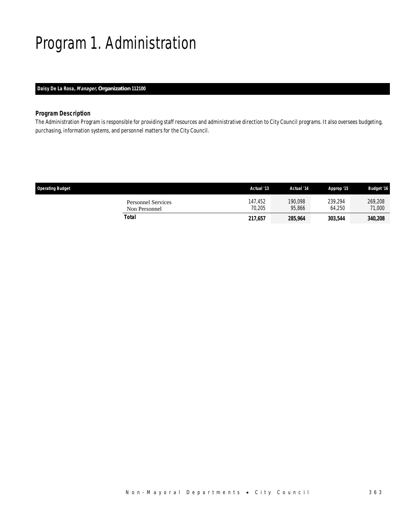# Program 1. Administration

## *Daisy De La Rosa, Manager, Organization 112100*

## *Program Description*

The Administration Program is responsible for providing staff resources and administrative direction to City Council programs. It also oversees budgeting, purchasing, information systems, and personnel matters for the City Council.

| <b>Operating Budget</b>                    | Actual '13        | Actual '14        | Approp '15        | <b>Budget '16</b>     |
|--------------------------------------------|-------------------|-------------------|-------------------|-----------------------|
| <b>Personnel Services</b><br>Non Personnel | 147,452<br>70.205 | 190.098<br>95.866 | 239.294<br>64.250 | 269,208<br>71,000     |
| Total                                      | 217,657           | 285,964           | 303,544           | <i><b>340,208</b></i> |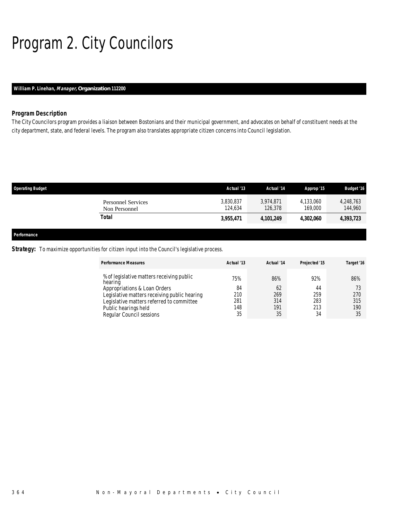# Program 2. City Councilors

## *William P. Linehan, Manager, Organization 112200*

## *Program Description*

The City Councilors program provides a liaison between Bostonians and their municipal government, and advocates on behalf of constituent needs at the city department, state, and federal levels. The program also translates appropriate citizen concerns into Council legislation.

| <b>Operating Budget</b> |                                            | Actual '13           | Actual '14           | Approp '15           | <b>Budget '16</b>    |
|-------------------------|--------------------------------------------|----------------------|----------------------|----------------------|----------------------|
|                         | <b>Personnel Services</b><br>Non Personnel | 3,830,837<br>124.634 | 3,974,871<br>126,378 | 4,133,060<br>169,000 | 4,248,763<br>144,960 |
|                         | <b>Total</b>                               | 3,955,471            | 4,101,249            | 4,302,060            | 4,393,723            |
| Performance             |                                            |                      |                      |                      |                      |

### **Strategy:** To maximize opportunities for citizen input into the Council's legislative process.

| <b>Performance Measures</b>                                                                                                                                                       | Actual '13              | Actual '14              | Projected '15           | Target '16        |
|-----------------------------------------------------------------------------------------------------------------------------------------------------------------------------------|-------------------------|-------------------------|-------------------------|-------------------|
| % of legislative matters receiving public<br>hearing<br>Appropriations & Loan Orders<br>Legislative matters receiving public hearing<br>Legislative matters referred to committee | 75%<br>84<br>210<br>281 | 86%<br>62<br>269<br>314 | 92%<br>44<br>259<br>283 | 86%<br>270<br>315 |
| Public hearings held<br>Regular Council sessions                                                                                                                                  | 148<br>35               | 191<br>35               | 213<br>34               | 190<br>35         |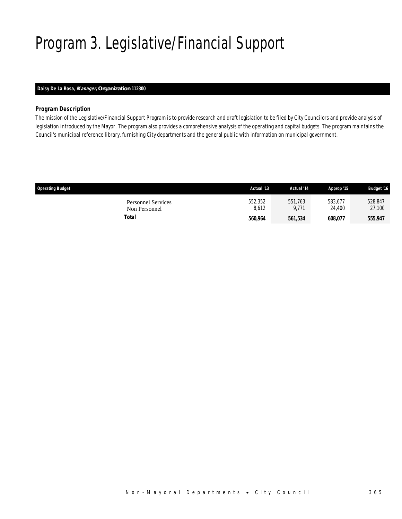# Program 3. Legislative/Financial Support

## *Daisy De La Rosa, Manager, Organization 112300*

### *Program Description*

The mission of the Legislative/Financial Support Program is to provide research and draft legislation to be filed by City Councilors and provide analysis of legislation introduced by the Mayor. The program also provides a comprehensive analysis of the operating and capital budgets. The program maintains the Council's municipal reference library, furnishing City departments and the general public with information on municipal government.

| <b>Operating Budget</b>                    | Actual '13       | Actual '14       | Approp '15        | <b>Budget '16</b> |
|--------------------------------------------|------------------|------------------|-------------------|-------------------|
| <b>Personnel Services</b><br>Non Personnel | 552,352<br>8.612 | 551,763<br>9.771 | 583,677<br>24.400 | 528,847<br>27,100 |
| Total                                      | 560,964          | 561,534          | 608,077           | 555,947           |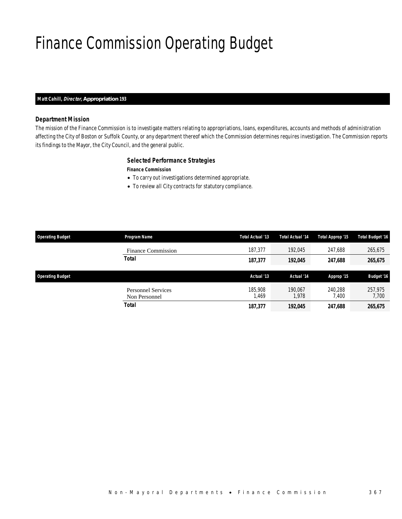# Finance Commission Operating Budget

### *Matt Cahill, Director, Appropriation 193*

### *Department Mission*

The mission of the Finance Commission is to investigate matters relating to appropriations, loans, expenditures, accounts and methods of administration affecting the City of Boston or Suffolk County, or any department thereof which the Commission determines requires investigation. The Commission reports its findings to the Mayor, the City Council, and the general public.

### *Selected Performance Strategies*

#### *Finance Commission*

- To carry out investigations determined appropriate.
- To review all City contracts for statutory compliance.

| <b>Operating Budget</b> | Program Name                               | Total Actual '13 | <b>Total Actual '14</b> | Total Approp '15 | <b>Total Budget '16</b> |
|-------------------------|--------------------------------------------|------------------|-------------------------|------------------|-------------------------|
|                         | <b>Finance Commission</b>                  | 187.377          | 192.045                 | 247.688          | 265,675                 |
|                         | <b>Total</b>                               | 187,377          | 192,045                 | 247,688          | 265,675                 |
|                         |                                            |                  |                         |                  |                         |
| <b>Operating Budget</b> |                                            | Actual '13       | Actual '14              | Approp '15       | <b>Budget '16</b>       |
|                         | <b>Personnel Services</b><br>Non Personnel | 185,908<br>1,469 | 190.067<br>.978         | 240.288<br>7.400 | 257.975<br>7,700        |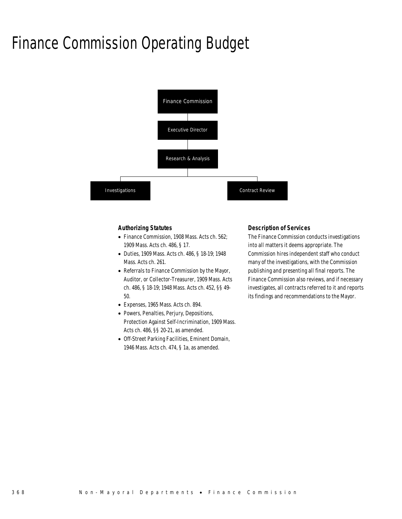## Finance Commission Operating Budget



### *Authorizing Statutes*

- Finance Commission, 1908 Mass. Acts ch. 562; 1909 Mass. Acts ch. 486, § 17.
- Duties, 1909 Mass. Acts ch. 486, § 18-19; 1948 Mass. Acts ch. 261.
- Referrals to Finance Commission by the Mayor, Auditor, or Collector-Treasurer, 1909 Mass. Acts ch. 486, § 18-19; 1948 Mass. Acts ch. 452, §§ 49- 50.
- Expenses, 1965 Mass. Acts ch. 894.
- Powers, Penalties, Perjury, Depositions, Protection Against Self-Incrimination, 1909 Mass. Acts ch. 486, §§ 20-21, as amended.
- Off-Street Parking Facilities, Eminent Domain, 1946 Mass. Acts ch. 474, § 1a, as amended.

### *Description of Services*

The Finance Commission conducts investigations into all matters it deems appropriate. The Commission hires independent staff who conduct many of the investigations, with the Commission publishing and presenting all final reports. The Finance Commission also reviews, and if necessary investigates, all contracts referred to it and reports its findings and recommendations to the Mayor.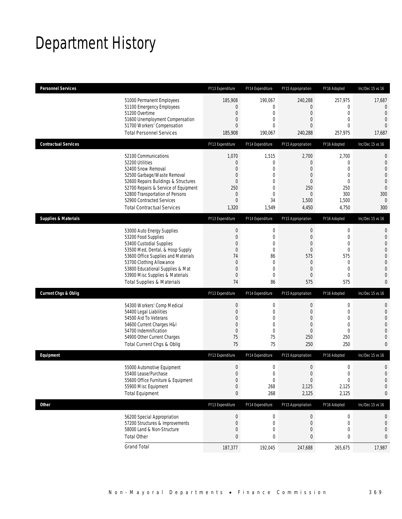## Department History

| <b>Personnel Services</b>       |                                                                                                                                                                                                                                                                                                      | FY13 Expenditure                                                                                                       | FY14 Expenditure                                                                              | FY15 Appropriation                                                                              | FY16 Adopted                                                                                                      | Inc/Dec 15 vs 16                                                                                                                                     |
|---------------------------------|------------------------------------------------------------------------------------------------------------------------------------------------------------------------------------------------------------------------------------------------------------------------------------------------------|------------------------------------------------------------------------------------------------------------------------|-----------------------------------------------------------------------------------------------|-------------------------------------------------------------------------------------------------|-------------------------------------------------------------------------------------------------------------------|------------------------------------------------------------------------------------------------------------------------------------------------------|
|                                 | 51000 Permanent Employees<br>51100 Emergency Employees<br>51200 Overtime<br>51600 Unemployment Compensation<br>51700 Workers' Compensation<br><b>Total Personnel Services</b>                                                                                                                        | 185,908<br>0<br>$\boldsymbol{0}$<br>0<br>$\overline{0}$<br>185,908                                                     | 190,067<br>0<br>0<br>0<br>$\Omega$<br>190,067                                                 | 240,288<br>0<br>$\mathbf 0$<br>0<br>0<br>240,288                                                | 257,975<br>$\mathbf 0$<br>$\mathbf 0$<br>$\mathbf{0}$<br>$\Omega$<br>257,975                                      | 17,687<br>$\mathbf 0$<br>$\overline{0}$<br>$\overline{0}$<br>$\overline{0}$<br>17,687                                                                |
| <b>Contractual Services</b>     |                                                                                                                                                                                                                                                                                                      | FY13 Expenditure                                                                                                       | FY14 Expenditure                                                                              | FY15 Appropriation                                                                              | FY16 Adopted                                                                                                      | Inc/Dec 15 vs 16                                                                                                                                     |
|                                 | 52100 Communications<br>52200 Utilities<br>52400 Snow Removal<br>52500 Garbage/Waste Removal<br>52600 Repairs Buildings & Structures<br>52700 Repairs & Service of Equipment<br>52800 Transportation of Persons<br>52900 Contracted Services<br><b>Total Contractual Services</b>                    | 1,070<br>$\theta$<br>$\overline{0}$<br>$\mathbf 0$<br>$\overline{0}$<br>250<br>$\mathbf 0$<br>$\overline{0}$<br>1,320  | 1,515<br>0<br>$\mathbf{0}$<br>$\overline{0}$<br>0<br>0<br>$\overline{0}$<br>34<br>1,549       | 2,700<br>0<br>0<br>0<br>0<br>250<br>0<br>1,500<br>4,450                                         | 2,700<br>$\mathbf 0$<br>$\mathbf{0}$<br>$\mathbf{0}$<br>$\mathbf{0}$<br>250<br>300<br>1,500<br>4,750              | $\mathbf 0$<br>$\mathbf 0$<br>$\overline{0}$<br>$\mathbf{0}$<br>$\mathbf 0$<br>$\overline{0}$<br>300<br>$\mathbf{0}$<br>300                          |
| <b>Supplies &amp; Materials</b> |                                                                                                                                                                                                                                                                                                      | FY13 Expenditure                                                                                                       | FY14 Expenditure                                                                              | FY15 Appropriation                                                                              | FY16 Adopted                                                                                                      | Inc/Dec 15 vs 16                                                                                                                                     |
|                                 | 53000 Auto Energy Supplies<br>53200 Food Supplies<br>53400 Custodial Supplies<br>53500 Med, Dental, & Hosp Supply<br>53600 Office Supplies and Materials<br>53700 Clothing Allowance<br>53800 Educational Supplies & Mat<br>53900 Misc Supplies & Materials<br><b>Total Supplies &amp; Materials</b> | $\boldsymbol{0}$<br>$\boldsymbol{0}$<br>0<br>$\mathbf 0$<br>74<br>$\theta$<br>$\boldsymbol{0}$<br>$\overline{0}$<br>74 | 0<br>0<br>$\mathbf{0}$<br>$\boldsymbol{0}$<br>86<br>0<br>$\overline{0}$<br>$\mathbf{0}$<br>86 | $\mathbf 0$<br>$\mathbf 0$<br>0<br>$\mathbf 0$<br>575<br>$\theta$<br>$\overline{0}$<br>0<br>575 | $\boldsymbol{0}$<br>$\mathbf 0$<br>$\mathbf{0}$<br>$\mathbf 0$<br>575<br>0<br>$\mathbf{0}$<br>$\mathbf{0}$<br>575 | $\mathbf{0}$<br>$\mathbf 0$<br>$\overline{0}$<br>$\overline{0}$<br>$\mathbf 0$<br>$\overline{0}$<br>$\overline{0}$<br>$\overline{0}$<br>$\mathbf{0}$ |
| <b>Current Chgs &amp; Oblig</b> |                                                                                                                                                                                                                                                                                                      | FY13 Expenditure                                                                                                       | FY14 Expenditure                                                                              | FY15 Appropriation                                                                              | FY16 Adopted                                                                                                      | Inc/Dec 15 vs 16                                                                                                                                     |
|                                 | 54300 Workers' Comp Medical<br>54400 Legal Liabilities<br>54500 Aid To Veterans<br>54600 Current Charges H&I<br>54700 Indemnification<br>54900 Other Current Charges<br>Total Current Chgs & Oblig                                                                                                   | $\boldsymbol{0}$<br>$\boldsymbol{0}$<br>0<br>$\mathbf 0$<br>$\boldsymbol{0}$<br>75<br>75                               | 0<br>0<br>0<br>$\overline{0}$<br>$\overline{0}$<br>75<br>75                                   | $\mathbf 0$<br>$\mathbf 0$<br>0<br>$\mathbf 0$<br>0<br>250<br>250                               | 0<br>$\mathbf 0$<br>$\mathbf{0}$<br>$\mathbf 0$<br>$\mathbf{0}$<br>250<br>250                                     | $\mathbf 0$<br>$\mathbf 0$<br>$\overline{0}$<br>$\overline{0}$<br>$\overline{0}$<br>$\mathbf{0}$<br>$\overline{0}$                                   |
| Equipment                       |                                                                                                                                                                                                                                                                                                      | FY13 Expenditure                                                                                                       | FY14 Expenditure                                                                              | FY15 Appropriation                                                                              | FY16 Adopted                                                                                                      | Inc/Dec 15 vs 16                                                                                                                                     |
|                                 | 55000 Automotive Equipment<br>55400 Lease/Purchase<br>55600 Office Furniture & Equipment<br>55900 Misc Equipment<br><b>Total Equipment</b>                                                                                                                                                           | $\boldsymbol{0}$<br>$\overline{0}$<br>$\boldsymbol{0}$<br>$\boldsymbol{0}$<br>$\bf 0$                                  | 0<br>$\Omega$<br>$\boldsymbol{0}$<br>268<br>268                                               | $\mathbf 0$<br>0<br>$\boldsymbol{0}$<br>2,125<br>2,125                                          | $\mathbf 0$<br>$\mathbf 0$<br>$\boldsymbol{0}$<br>2,125<br>2,125                                                  | $\mathbf 0$<br>$\overline{0}$<br>$\mathbf 0$<br>$\mathbf 0$<br>0                                                                                     |
| <b>Other</b>                    |                                                                                                                                                                                                                                                                                                      | FY13 Expenditure                                                                                                       | FY14 Expenditure                                                                              | FY15 Appropriation                                                                              | FY16 Adopted                                                                                                      | Inc/Dec 15 vs 16                                                                                                                                     |
|                                 | 56200 Special Appropriation<br>57200 Structures & Improvements<br>58000 Land & Non-Structure<br><b>Total Other</b>                                                                                                                                                                                   | $\boldsymbol{0}$<br>$\boldsymbol{0}$<br>$\boldsymbol{0}$<br>$\bf 0$                                                    | 0<br>0<br>0<br>0                                                                              | $\boldsymbol{0}$<br>0<br>0<br>0                                                                 | 0<br>0<br>$\mathbf 0$<br>0                                                                                        | 0<br>0<br>$\mathbf 0$<br>0                                                                                                                           |
|                                 | <b>Grand Total</b>                                                                                                                                                                                                                                                                                   | 187,377                                                                                                                | 192,045                                                                                       | 247,688                                                                                         | 265,675                                                                                                           | 17,987                                                                                                                                               |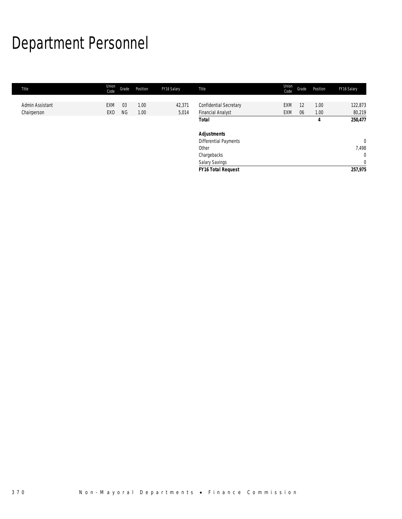# Department Personnel

| Title           | Union<br>Code   | Grade     | Position | FY16 Salary | Title                         | Union<br>Code | Grade | Position | FY16 Salary    |
|-----------------|-----------------|-----------|----------|-------------|-------------------------------|---------------|-------|----------|----------------|
|                 |                 |           |          |             |                               |               |       |          |                |
| Admin Assistant | EXM             | 03        | 1.00     | 42,371      | <b>Confidential Secretary</b> | EXM           | 12    | 1.00     | 122,873        |
| Chairperson     | EX <sub>0</sub> | <b>NG</b> | 1.00     | 5,014       | <b>Financial Analyst</b>      | EXM           | 06    | 1.00     | 80,219         |
|                 |                 |           |          |             | <b>Total</b>                  |               |       | 4        | 250,477        |
|                 |                 |           |          |             | <b>Adjustments</b>            |               |       |          |                |
|                 |                 |           |          |             | Differential Payments         |               |       |          | $\mathbf 0$    |
|                 |                 |           |          |             | Other                         |               |       |          | 7,498          |
|                 |                 |           |          |             | Chargebacks                   |               |       |          | $\mathbf{0}$   |
|                 |                 |           |          |             | <b>Salary Savings</b>         |               |       |          | $\overline{0}$ |
|                 |                 |           |          |             | <b>FY16 Total Request</b>     |               |       |          | 257,975        |